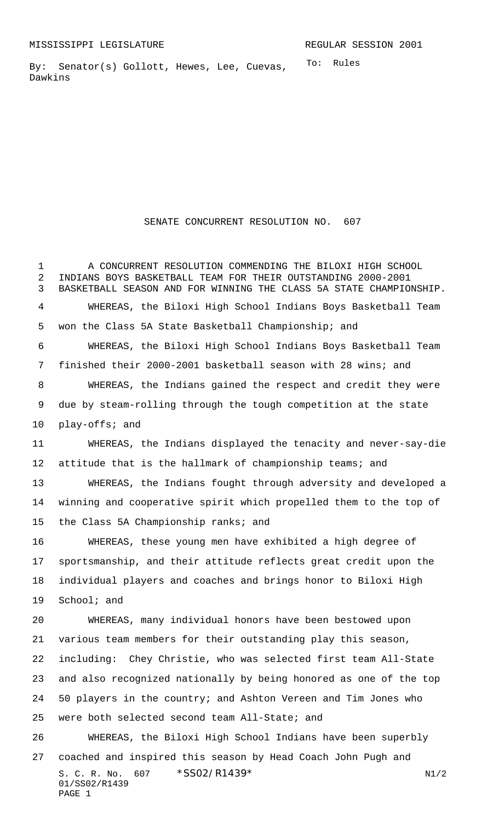To: Rules By: Senator(s) Gollott, Hewes, Lee, Cuevas, Dawkins

## SENATE CONCURRENT RESOLUTION NO. 607

S. C. R. No. 607 \* SS02/R1439\* N1/2 01/SS02/R1439 PAGE 1 A CONCURRENT RESOLUTION COMMENDING THE BILOXI HIGH SCHOOL INDIANS BOYS BASKETBALL TEAM FOR THEIR OUTSTANDING 2000-2001 BASKETBALL SEASON AND FOR WINNING THE CLASS 5A STATE CHAMPIONSHIP. WHEREAS, the Biloxi High School Indians Boys Basketball Team won the Class 5A State Basketball Championship; and WHEREAS, the Biloxi High School Indians Boys Basketball Team finished their 2000-2001 basketball season with 28 wins; and WHEREAS, the Indians gained the respect and credit they were due by steam-rolling through the tough competition at the state play-offs; and WHEREAS, the Indians displayed the tenacity and never-say-die attitude that is the hallmark of championship teams; and WHEREAS, the Indians fought through adversity and developed a winning and cooperative spirit which propelled them to the top of the Class 5A Championship ranks; and WHEREAS, these young men have exhibited a high degree of sportsmanship, and their attitude reflects great credit upon the individual players and coaches and brings honor to Biloxi High School; and WHEREAS, many individual honors have been bestowed upon various team members for their outstanding play this season, including: Chey Christie, who was selected first team All-State and also recognized nationally by being honored as one of the top 50 players in the country; and Ashton Vereen and Tim Jones who were both selected second team All-State; and WHEREAS, the Biloxi High School Indians have been superbly coached and inspired this season by Head Coach John Pugh and